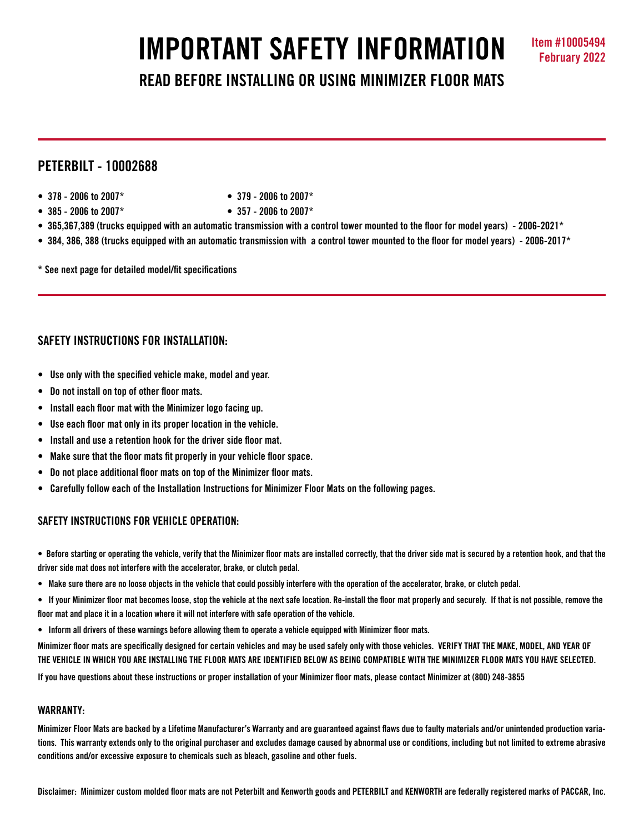# **IMPORTANT SAFETY INFORMATION Item #10005494**

**READ BEFORE INSTALLING OR USING MINIMIZER FLOOR MATS**

# **PETERBILT - 10002688**

- 
- **378 2006 to 2007\* 379 2006 to 2007\***
- 
- **385 2006 to 2007\* 357 2006 to 2007\***
- **365,367,389 (trucks equipped with an automatic transmission with a control tower mounted to the floor for model years) 2006-2021\***
- **384, 386, 388 (trucks equipped with an automatic transmission with a control tower mounted to the floor for model years) 2006-2017\***

**\* See next page for detailed model/fit specifications**

# **SAFETY INSTRUCTIONS FOR INSTALLATION:**

- **Use only with the specified vehicle make, model and year.**
- **Do not install on top of other floor mats.**
- **Install each floor mat with the Minimizer logo facing up.**
- **Use each floor mat only in its proper location in the vehicle.**
- **Install and use a retention hook for the driver side floor mat.**
- **Make sure that the floor mats fit properly in your vehicle floor space.**
- **Do not place additional floor mats on top of the Minimizer floor mats.**
- **Carefully follow each of the Installation Instructions for Minimizer Floor Mats on the following pages.**

# **SAFETY INSTRUCTIONS FOR VEHICLE OPERATION:**

**• Before starting or operating the vehicle, verify that the Minimizer floor mats are installed correctly, that the driver side mat is secured by a retention hook, and that the driver side mat does not interfere with the accelerator, brake, or clutch pedal.**

- **Make sure there are no loose objects in the vehicle that could possibly interfere with the operation of the accelerator, brake, or clutch pedal.**
- **If your Minimizer floor mat becomes loose, stop the vehicle at the next safe location. Re-install the floor mat properly and securely. If that is not possible, remove the floor mat and place it in a location where it will not interfere with safe operation of the vehicle.**
- **Inform all drivers of these warnings before allowing them to operate a vehicle equipped with Minimizer floor mats.**

**Minimizer floor mats are specifically designed for certain vehicles and may be used safely only with those vehicles. VERIFY THAT THE MAKE, MODEL, AND YEAR OF THE VEHICLE IN WHICH YOU ARE INSTALLING THE FLOOR MATS ARE IDENTIFIED BELOW AS BEING COMPATIBLE WITH THE MINIMIZER FLOOR MATS YOU HAVE SELECTED.** 

**If you have questions about these instructions or proper installation of your Minimizer floor mats, please contact Minimizer at (800) 248-3855**

# **WARRANTY:**

**Minimizer Floor Mats are backed by a Lifetime Manufacturer's Warranty and are guaranteed against flaws due to faulty materials and/or unintended production variations. This warranty extends only to the original purchaser and excludes damage caused by abnormal use or conditions, including but not limited to extreme abrasive conditions and/or excessive exposure to chemicals such as bleach, gasoline and other fuels.**

**Disclaimer: Minimizer custom molded floor mats are not Peterbilt and Kenworth goods and PETERBILT and KENWORTH are federally registered marks of PACCAR, Inc.**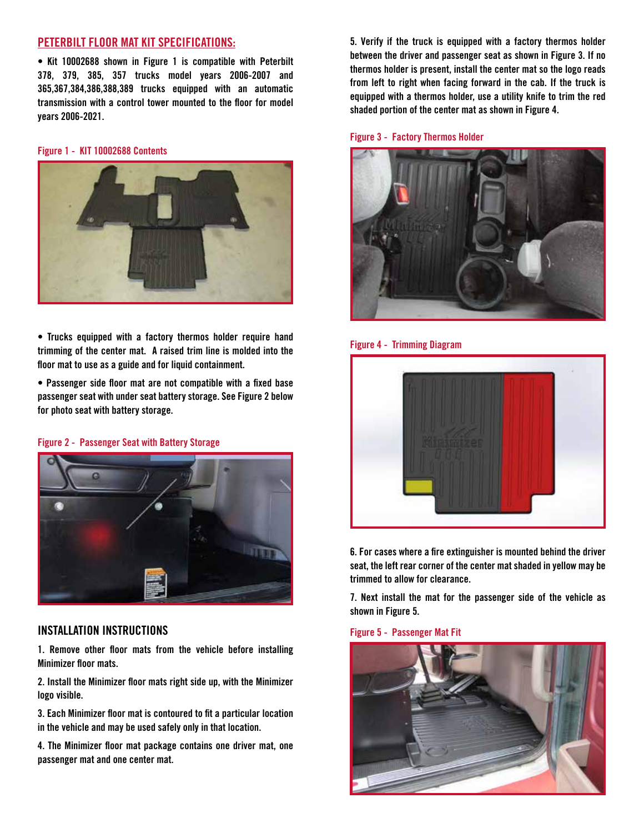# **PETERBILT FLOOR MAT KIT SPECIFICATIONS:**

**• Kit 10002688 shown in Figure 1 is compatible with Peterbilt 378, 379, 385, 357 trucks model years 2006-2007 and 365,367,384,386,388,389 trucks equipped with an automatic transmission with a control tower mounted to the floor for model years 2006-2021.**

### **Figure 1 - KIT 10002688 Contents**



**• Trucks equipped with a factory thermos holder require hand trimming of the center mat. A raised trim line is molded into the floor mat to use as a guide and for liquid containment.** 

**• Passenger side floor mat are not compatible with a fixed base passenger seat with under seat battery storage. See Figure 2 below for photo seat with battery storage.**

**Figure 2 - Passenger Seat with Battery Storage**



# **INSTALLATION INSTRUCTIONS**

**1. Remove other floor mats from the vehicle before installing Minimizer floor mats.**

**2. Install the Minimizer floor mats right side up, with the Minimizer logo visible.**

**3. Each Minimizer floor mat is contoured to fit a particular location in the vehicle and may be used safely only in that location.**

**4. The Minimizer floor mat package contains one driver mat, one passenger mat and one center mat.**

**5. Verify if the truck is equipped with a factory thermos holder between the driver and passenger seat as shown in Figure 3. If no thermos holder is present, install the center mat so the logo reads from left to right when facing forward in the cab. If the truck is equipped with a thermos holder, use a utility knife to trim the red shaded portion of the center mat as shown in Figure 4.**

### **Figure 3 - Factory Thermos Holder**



**Figure 4 - Trimming Diagram**



**6. For cases where a fire extinguisher is mounted behind the driver seat, the left rear corner of the center mat shaded in yellow may be trimmed to allow for clearance.**

**7. Next install the mat for the passenger side of the vehicle as shown in Figure 5.**

**Figure 5 - Passenger Mat Fit**